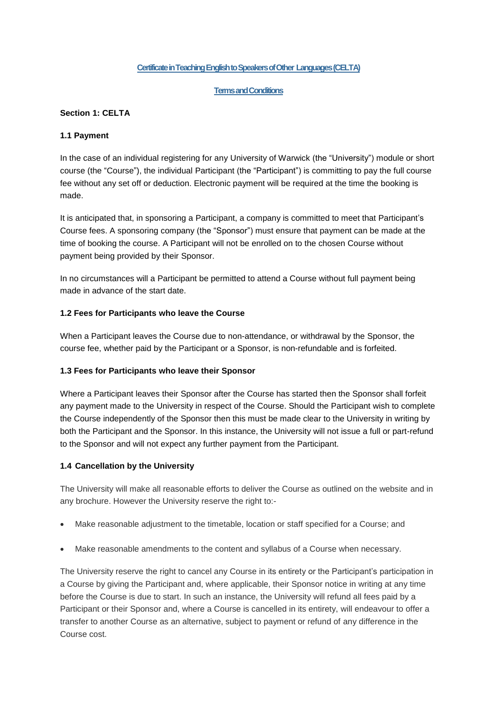### **Certificate in TeachingEnglish to Speakers of Other Languages (CELTA)**

#### **Terms and Conditions**

### **Section 1: CELTA**

### **1.1 Payment**

In the case of an individual registering for any University of Warwick (the "University") module or short course (the "Course"), the individual Participant (the "Participant") is committing to pay the full course fee without any set off or deduction. Electronic payment will be required at the time the booking is made.

It is anticipated that, in sponsoring a Participant, a company is committed to meet that Participant's Course fees. A sponsoring company (the "Sponsor") must ensure that payment can be made at the time of booking the course. A Participant will not be enrolled on to the chosen Course without payment being provided by their Sponsor.

In no circumstances will a Participant be permitted to attend a Course without full payment being made in advance of the start date.

#### **1.2 Fees for Participants who leave the Course**

When a Participant leaves the Course due to non-attendance, or withdrawal by the Sponsor, the course fee, whether paid by the Participant or a Sponsor, is non-refundable and is forfeited.

#### **1.3 Fees for Participants who leave their Sponsor**

Where a Participant leaves their Sponsor after the Course has started then the Sponsor shall forfeit any payment made to the University in respect of the Course. Should the Participant wish to complete the Course independently of the Sponsor then this must be made clear to the University in writing by both the Participant and the Sponsor. In this instance, the University will not issue a full or part-refund to the Sponsor and will not expect any further payment from the Participant.

#### **1.4 Cancellation by the University**

The University will make all reasonable efforts to deliver the Course as outlined on the website and in any brochure. However the University reserve the right to:-

- Make reasonable adjustment to the timetable, location or staff specified for a Course; and
- Make reasonable amendments to the content and syllabus of a Course when necessary.

The University reserve the right to cancel any Course in its entirety or the Participant's participation in a Course by giving the Participant and, where applicable, their Sponsor notice in writing at any time before the Course is due to start. In such an instance, the University will refund all fees paid by a Participant or their Sponsor and, where a Course is cancelled in its entirety, will endeavour to offer a transfer to another Course as an alternative, subject to payment or refund of any difference in the Course cost.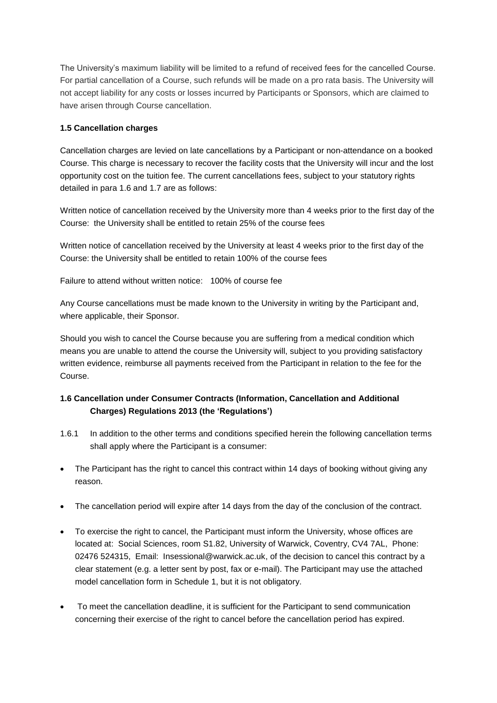The University's maximum liability will be limited to a refund of received fees for the cancelled Course. For partial cancellation of a Course, such refunds will be made on a pro rata basis. The University will not accept liability for any costs or losses incurred by Participants or Sponsors, which are claimed to have arisen through Course cancellation.

## **1.5 Cancellation charges**

Cancellation charges are levied on late cancellations by a Participant or non-attendance on a booked Course. This charge is necessary to recover the facility costs that the University will incur and the lost opportunity cost on the tuition fee. The current cancellations fees, subject to your statutory rights detailed in para 1.6 and 1.7 are as follows:

Written notice of cancellation received by the University more than 4 weeks prior to the first day of the Course: the University shall be entitled to retain 25% of the course fees

Written notice of cancellation received by the University at least 4 weeks prior to the first day of the Course: the University shall be entitled to retain 100% of the course fees

Failure to attend without written notice: 100% of course fee

Any Course cancellations must be made known to the University in writing by the Participant and, where applicable, their Sponsor.

Should you wish to cancel the Course because you are suffering from a medical condition which means you are unable to attend the course the University will, subject to you providing satisfactory written evidence, reimburse all payments received from the Participant in relation to the fee for the Course.

# **1.6 Cancellation under Consumer Contracts (Information, Cancellation and Additional Charges) Regulations 2013 (the 'Regulations')**

- 1.6.1 In addition to the other terms and conditions specified herein the following cancellation terms shall apply where the Participant is a consumer:
- The Participant has the right to cancel this contract within 14 days of booking without giving any reason.
- The cancellation period will expire after 14 days from the day of the conclusion of the contract.
- To exercise the right to cancel, the Participant must inform the University, whose offices are located at: Social Sciences, room S1.82, University of Warwick, Coventry, CV4 7AL, Phone: 02476 524315, Email: Insessional@warwick.ac.uk, of the decision to cancel this contract by a clear statement (e.g. a letter sent by post, fax or e-mail). The Participant may use the attached model cancellation form in Schedule 1, but it is not obligatory.
- To meet the cancellation deadline, it is sufficient for the Participant to send communication concerning their exercise of the right to cancel before the cancellation period has expired.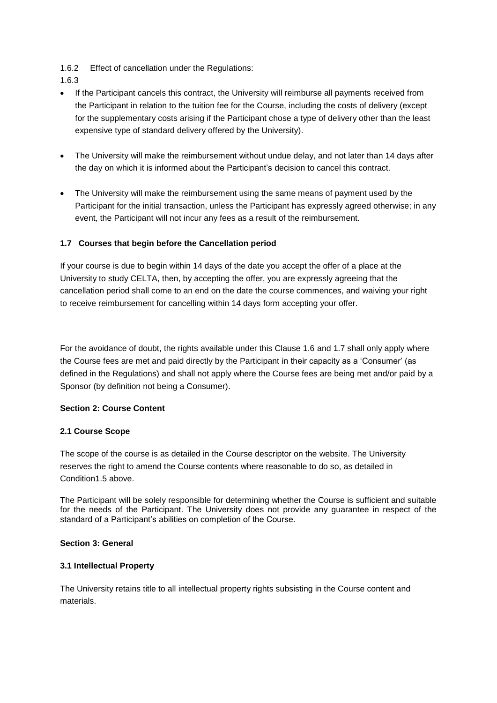- 1.6.2 Effect of cancellation under the Regulations:
- 1.6.3
- If the Participant cancels this contract, the University will reimburse all payments received from the Participant in relation to the tuition fee for the Course, including the costs of delivery (except for the supplementary costs arising if the Participant chose a type of delivery other than the least expensive type of standard delivery offered by the University).
- The University will make the reimbursement without undue delay, and not later than 14 days after the day on which it is informed about the Participant's decision to cancel this contract.
- The University will make the reimbursement using the same means of payment used by the Participant for the initial transaction, unless the Participant has expressly agreed otherwise; in any event, the Participant will not incur any fees as a result of the reimbursement.

# **1.7 Courses that begin before the Cancellation period**

If your course is due to begin within 14 days of the date you accept the offer of a place at the University to study CELTA, then, by accepting the offer, you are expressly agreeing that the cancellation period shall come to an end on the date the course commences, and waiving your right to receive reimbursement for cancelling within 14 days form accepting your offer.

For the avoidance of doubt, the rights available under this Clause 1.6 and 1.7 shall only apply where the Course fees are met and paid directly by the Participant in their capacity as a 'Consumer' (as defined in the Regulations) and shall not apply where the Course fees are being met and/or paid by a Sponsor (by definition not being a Consumer).

#### **Section 2: Course Content**

#### **2.1 Course Scope**

The scope of the course is as detailed in the Course descriptor on the website. The University reserves the right to amend the Course contents where reasonable to do so, as detailed in Condition1.5 above.

The Participant will be solely responsible for determining whether the Course is sufficient and suitable for the needs of the Participant. The University does not provide any guarantee in respect of the standard of a Participant's abilities on completion of the Course.

#### **Section 3: General**

#### **3.1 Intellectual Property**

The University retains title to all intellectual property rights subsisting in the Course content and materials.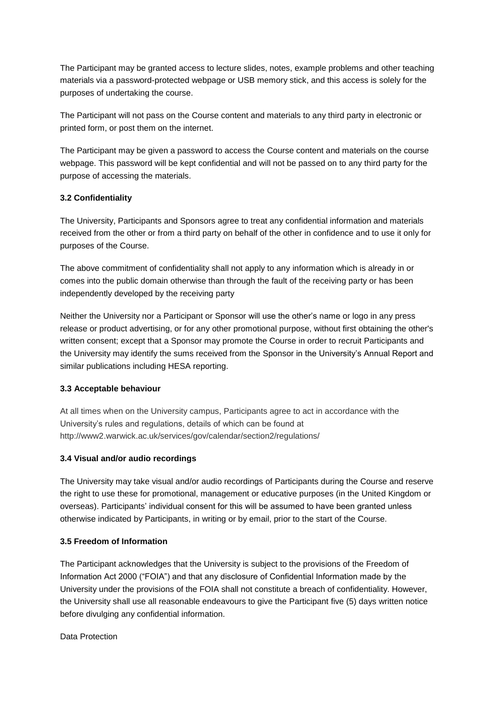The Participant may be granted access to lecture slides, notes, example problems and other teaching materials via a password-protected webpage or USB memory stick, and this access is solely for the purposes of undertaking the course.

The Participant will not pass on the Course content and materials to any third party in electronic or printed form, or post them on the internet.

The Participant may be given a password to access the Course content and materials on the course webpage. This password will be kept confidential and will not be passed on to any third party for the purpose of accessing the materials.

## **3.2 Confidentiality**

The University, Participants and Sponsors agree to treat any confidential information and materials received from the other or from a third party on behalf of the other in confidence and to use it only for purposes of the Course.

The above commitment of confidentiality shall not apply to any information which is already in or comes into the public domain otherwise than through the fault of the receiving party or has been independently developed by the receiving party

Neither the University nor a Participant or Sponsor will use the other's name or logo in any press release or product advertising, or for any other promotional purpose, without first obtaining the other's written consent; except that a Sponsor may promote the Course in order to recruit Participants and the University may identify the sums received from the Sponsor in the University's Annual Report and similar publications including HESA reporting.

#### **3.3 Acceptable behaviour**

At all times when on the University campus, Participants agree to act in accordance with the University's rules and regulations, details of which can be found at http://www2.warwick.ac.uk/services/gov/calendar/section2/regulations/

#### **3.4 Visual and/or audio recordings**

The University may take visual and/or audio recordings of Participants during the Course and reserve the right to use these for promotional, management or educative purposes (in the United Kingdom or overseas). Participants' individual consent for this will be assumed to have been granted unless otherwise indicated by Participants, in writing or by email, prior to the start of the Course.

#### **3.5 Freedom of Information**

The Participant acknowledges that the University is subject to the provisions of the Freedom of Information Act 2000 ("FOIA") and that any disclosure of Confidential Information made by the University under the provisions of the FOIA shall not constitute a breach of confidentiality. However, the University shall use all reasonable endeavours to give the Participant five (5) days written notice before divulging any confidential information.

Data Protection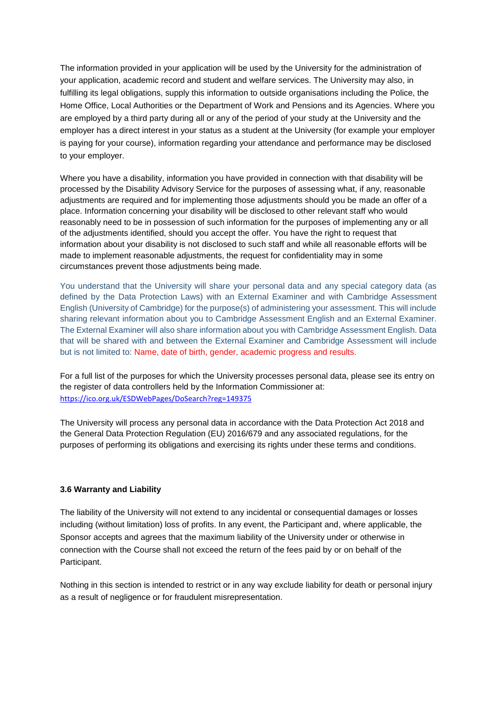The information provided in your application will be used by the University for the administration of your application, academic record and student and welfare services. The University may also, in fulfilling its legal obligations, supply this information to outside organisations including the Police, the Home Office, Local Authorities or the Department of Work and Pensions and its Agencies. Where you are employed by a third party during all or any of the period of your study at the University and the employer has a direct interest in your status as a student at the University (for example your employer is paying for your course), information regarding your attendance and performance may be disclosed to your employer.

Where you have a disability, information you have provided in connection with that disability will be processed by the Disability Advisory Service for the purposes of assessing what, if any, reasonable adjustments are required and for implementing those adjustments should you be made an offer of a place. Information concerning your disability will be disclosed to other relevant staff who would reasonably need to be in possession of such information for the purposes of implementing any or all of the adjustments identified, should you accept the offer. You have the right to request that information about your disability is not disclosed to such staff and while all reasonable efforts will be made to implement reasonable adjustments, the request for confidentiality may in some circumstances prevent those adjustments being made.

You understand that the University will share your personal data and any special category data (as defined by the Data Protection Laws) with an External Examiner and with Cambridge Assessment English (University of Cambridge) for the purpose(s) of administering your assessment. This will include sharing relevant information about you to Cambridge Assessment English and an External Examiner. The External Examiner will also share information about you with Cambridge Assessment English. Data that will be shared with and between the External Examiner and Cambridge Assessment will include but is not limited to: Name, date of birth, gender, academic progress and results.

For a full list of the purposes for which the University processes personal data, please see its entry on the register of data controllers held by the Information Commissioner at: <https://ico.org.uk/ESDWebPages/DoSearch?reg=149375>

The University will process any personal data in accordance with the Data Protection Act 2018 and the General Data Protection Regulation (EU) 2016/679 and any associated regulations, for the purposes of performing its obligations and exercising its rights under these terms and conditions.

#### **3.6 Warranty and Liability**

The liability of the University will not extend to any incidental or consequential damages or losses including (without limitation) loss of profits. In any event, the Participant and, where applicable, the Sponsor accepts and agrees that the maximum liability of the University under or otherwise in connection with the Course shall not exceed the return of the fees paid by or on behalf of the Participant.

Nothing in this section is intended to restrict or in any way exclude liability for death or personal injury as a result of negligence or for fraudulent misrepresentation.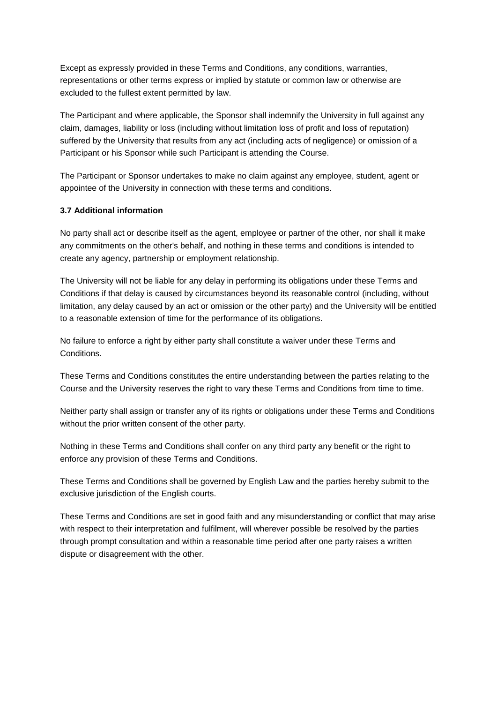Except as expressly provided in these Terms and Conditions, any conditions, warranties, representations or other terms express or implied by statute or common law or otherwise are excluded to the fullest extent permitted by law.

The Participant and where applicable, the Sponsor shall indemnify the University in full against any claim, damages, liability or loss (including without limitation loss of profit and loss of reputation) suffered by the University that results from any act (including acts of negligence) or omission of a Participant or his Sponsor while such Participant is attending the Course.

The Participant or Sponsor undertakes to make no claim against any employee, student, agent or appointee of the University in connection with these terms and conditions.

#### **3.7 Additional information**

No party shall act or describe itself as the agent, employee or partner of the other, nor shall it make any commitments on the other's behalf, and nothing in these terms and conditions is intended to create any agency, partnership or employment relationship.

The University will not be liable for any delay in performing its obligations under these Terms and Conditions if that delay is caused by circumstances beyond its reasonable control (including, without limitation, any delay caused by an act or omission or the other party) and the University will be entitled to a reasonable extension of time for the performance of its obligations.

No failure to enforce a right by either party shall constitute a waiver under these Terms and **Conditions** 

These Terms and Conditions constitutes the entire understanding between the parties relating to the Course and the University reserves the right to vary these Terms and Conditions from time to time.

Neither party shall assign or transfer any of its rights or obligations under these Terms and Conditions without the prior written consent of the other party.

Nothing in these Terms and Conditions shall confer on any third party any benefit or the right to enforce any provision of these Terms and Conditions.

These Terms and Conditions shall be governed by English Law and the parties hereby submit to the exclusive jurisdiction of the English courts.

These Terms and Conditions are set in good faith and any misunderstanding or conflict that may arise with respect to their interpretation and fulfilment, will wherever possible be resolved by the parties through prompt consultation and within a reasonable time period after one party raises a written dispute or disagreement with the other.